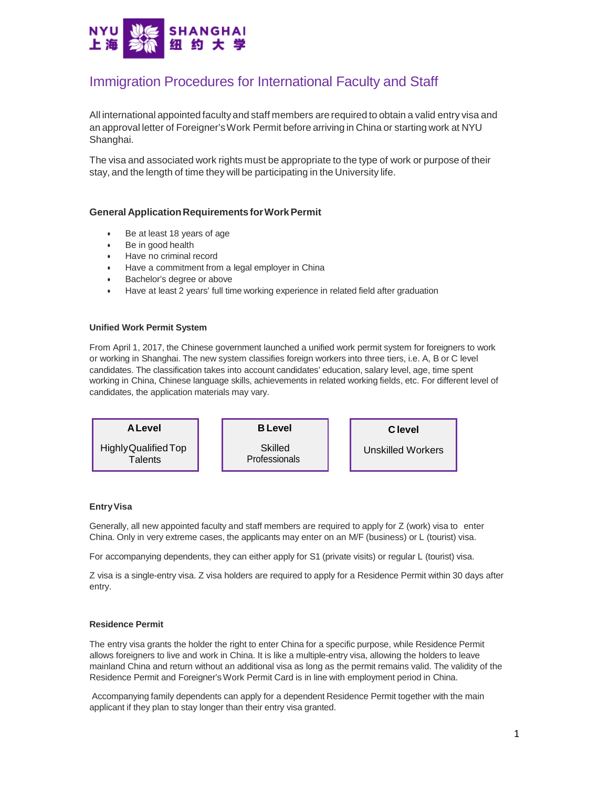

# Immigration Procedures for International Faculty and Staff

All international appointed faculty and staff members are required to obtain a valid entry visa and an approval letter of Foreigner'sWork Permit before arriving in China or starting work at NYU Shanghai.

The visa and associated work rights must be appropriate to the type of work or purpose of their stay, and the length of time they will be participating in the University life.

### **General ApplicationRequirements forWorkPermit**

- Be at least 18 years of age
- Be in good health
- Have no criminal record
- Have a commitment from a legal employer in China
- Bachelor's degree or above
- Have at least 2 years' full time working experience in related field after graduation

#### **Unified Work Permit System**

From April 1, 2017, the Chinese government launched a unified work permit system for foreigners to work or working in Shanghai. The new system classifies foreign workers into three tiers, i.e. A, B or C level candidates. The classification takes into account candidates' education, salary level, age, time spent working in China, Chinese language skills, achievements in related working fields, etc. For different level of candidates, the application materials may vary.



#### **Entry Visa**

Generally, all new appointed faculty and staff members are required to apply for Z (work) visa to enter China. Only in very extreme cases, the applicants may enter on an M/F (business) or L (tourist) visa.

For accompanying dependents, they can either apply for S1 (private visits) or regular L (tourist) visa.

Z visa is a single-entry visa. Z visa holders are required to apply for a Residence Permit within 30 days after entry.

### **Residence Permit**

The entry visa grants the holder the right to enter China for a specific purpose, while Residence Permit allows foreigners to live and work in China. It is like a multiple-entry visa, allowing the holders to leave mainland China and return without an additional visa as long as the permit remains valid. The validity of the Residence Permit and Foreigner'sWork Permit Card is in line with employment period in China.

Accompanying family dependents can apply for a dependent Residence Permit together with the main applicant if they plan to stay longer than their entry visa granted.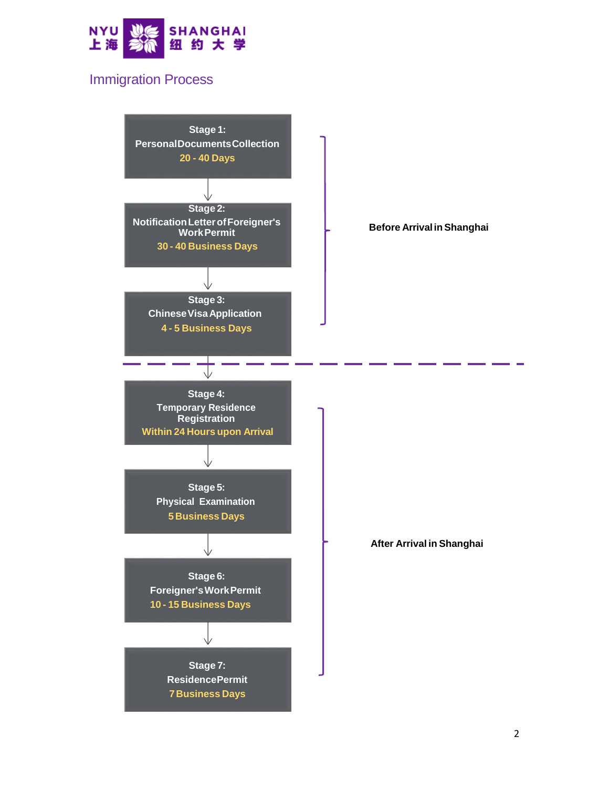

# Immigration Process

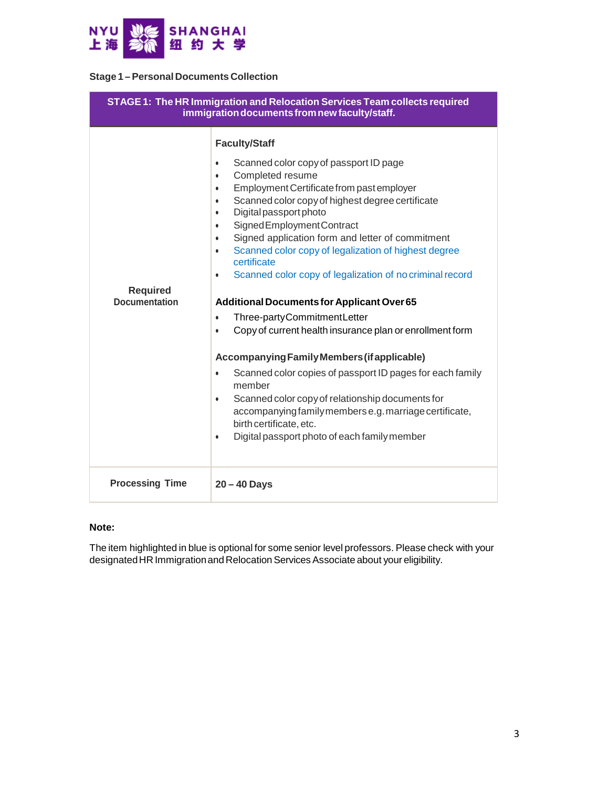

### **Stage 1 –Personal Documents Collection**

| STAGE 1: The HR Immigration and Relocation Services Team collects required<br>immigration documents from new faculty/staff. |                                                                                                                                                                                                                                                                                                                                                                                                                                                                                                                                                                                                                                                                                                                                                                                                                                                                                                                                                                                                                                                                            |
|-----------------------------------------------------------------------------------------------------------------------------|----------------------------------------------------------------------------------------------------------------------------------------------------------------------------------------------------------------------------------------------------------------------------------------------------------------------------------------------------------------------------------------------------------------------------------------------------------------------------------------------------------------------------------------------------------------------------------------------------------------------------------------------------------------------------------------------------------------------------------------------------------------------------------------------------------------------------------------------------------------------------------------------------------------------------------------------------------------------------------------------------------------------------------------------------------------------------|
| <b>Required</b><br><b>Documentation</b>                                                                                     | <b>Faculty/Staff</b><br>Scanned color copy of passport ID page<br>$\bullet$<br>Completed resume<br>$\bullet$<br>Employment Certificate from past employer<br>$\bullet$<br>Scanned color copy of highest degree certificate<br>$\bullet$<br>Digital passport photo<br>$\bullet$<br>Signed Employment Contract<br>$\bullet$<br>Signed application form and letter of commitment<br>$\bullet$<br>Scanned color copy of legalization of highest degree<br>$\bullet$<br>certificate<br>Scanned color copy of legalization of no criminal record<br>$\bullet$<br><b>Additional Documents for Applicant Over 65</b><br>Three-partyCommitmentLetter<br>Copy of current health insurance plan or enrollment form<br>$\bullet$<br>Accompanying Family Members (if applicable)<br>Scanned color copies of passport ID pages for each family<br>$\bullet$<br>member<br>Scanned color copy of relationship documents for<br>$\bullet$<br>accompanying family members e.g. marriage certificate,<br>birth certificate, etc.<br>Digital passport photo of each family member<br>$\bullet$ |
| <b>Processing Time</b>                                                                                                      | $20 - 40$ Days                                                                                                                                                                                                                                                                                                                                                                                                                                                                                                                                                                                                                                                                                                                                                                                                                                                                                                                                                                                                                                                             |

### **Note:**

The item highlighted in blue is optional for some senior level professors. Please check with your designated HR Immigration and Relocation Services Associate about your eligibility.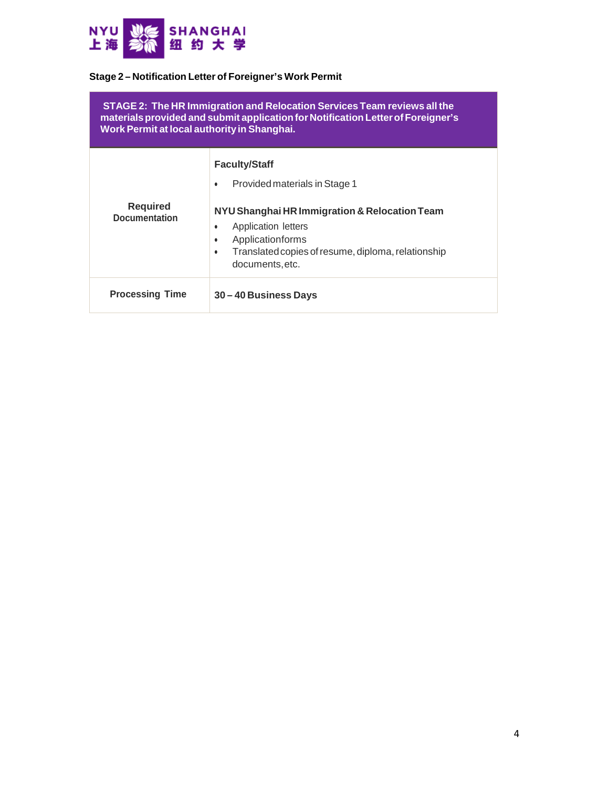

## **Stage 2 – Notification Letter of Foreigner's Work Permit**

| STAGE 2: The HR Immigration and Relocation Services Team reviews all the<br>materials provided and submit application for Notification Letter of Foreigner's<br>Work Permit at local authority in Shanghai. |                                                                                                                                                                                                                                                        |  |
|-------------------------------------------------------------------------------------------------------------------------------------------------------------------------------------------------------------|--------------------------------------------------------------------------------------------------------------------------------------------------------------------------------------------------------------------------------------------------------|--|
| <b>Required</b><br><b>Documentation</b>                                                                                                                                                                     | <b>Faculty/Staff</b><br>Provided materials in Stage 1<br>٠<br>NYU Shanghai HR Immigration & Relocation Team<br>Application letters<br>٠<br>Applicationforms<br>٠<br>Translated copies of resume, diploma, relationship<br>$\bullet$<br>documents, etc. |  |
| <b>Processing Time</b>                                                                                                                                                                                      | 30 – 40 Business Days                                                                                                                                                                                                                                  |  |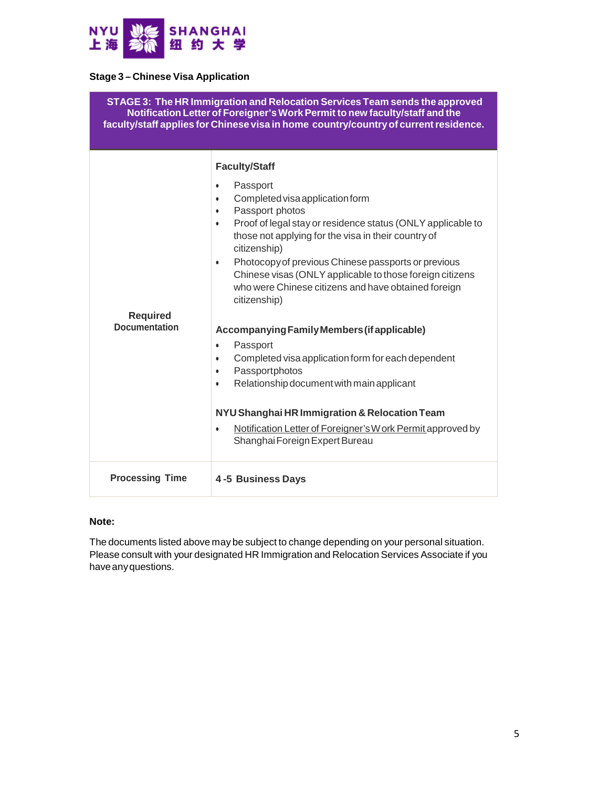

# **Stage 3 – Chinese Visa Application**

| STAGE 3: The HR Immigration and Relocation Services Team sends the approved<br>Notification Letter of Foreigner's Work Permit to new faculty/staff and the<br>faculty/staff applies for Chinese visa in home country/country of current residence. |                                                                                                                                                                                                                                                                                                                                                                                                                                                                                                                                                                                                                                                                                                                                                                                                                                                                                            |  |
|----------------------------------------------------------------------------------------------------------------------------------------------------------------------------------------------------------------------------------------------------|--------------------------------------------------------------------------------------------------------------------------------------------------------------------------------------------------------------------------------------------------------------------------------------------------------------------------------------------------------------------------------------------------------------------------------------------------------------------------------------------------------------------------------------------------------------------------------------------------------------------------------------------------------------------------------------------------------------------------------------------------------------------------------------------------------------------------------------------------------------------------------------------|--|
| <b>Required</b><br><b>Documentation</b>                                                                                                                                                                                                            | <b>Faculty/Staff</b><br>Passport<br>$\bullet$<br>Completed visa application form<br>$\bullet$<br>Passport photos<br>$\bullet$<br>Proof of legal stay or residence status (ONLY applicable to<br>$\bullet$<br>those not applying for the visa in their country of<br>citizenship)<br>Photocopy of previous Chinese passports or previous<br>$\bullet$<br>Chinese visas (ONLY applicable to those foreign citizens<br>who were Chinese citizens and have obtained foreign<br>citizenship)<br>Accompanying Family Members (if applicable)<br>Passport<br>$\bullet$<br>Completed visa application form for each dependent<br>$\bullet$<br>Passportphotos<br>$\bullet$<br>Relationship document with main applicant<br>$\bullet$<br>NYU Shanghai HR Immigration & Relocation Team<br>Notification Letter of Foreigner's W ork Permit approved by<br>$\bullet$<br>Shanghai Foreign Expert Bureau |  |
| <b>Processing Time</b>                                                                                                                                                                                                                             | <b>4-5 Business Days</b>                                                                                                                                                                                                                                                                                                                                                                                                                                                                                                                                                                                                                                                                                                                                                                                                                                                                   |  |

### **Note:**

The documents listed above may be subject to change depending on your personal situation. Please consult with your designated HR Immigration and Relocation Services Associate if you haveanyquestions.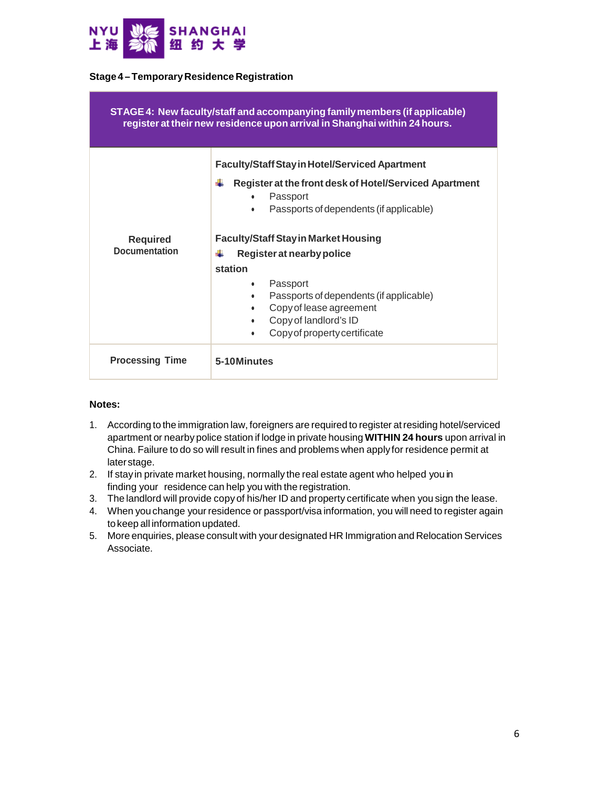

### **Stage4 –TemporaryResidence Registration**

| STAGE 4: New faculty/staff and accompanying family members (if applicable)<br>register at their new residence upon arrival in Shanghai within 24 hours. |                                                                                                                                                                                                                                                                                                      |
|---------------------------------------------------------------------------------------------------------------------------------------------------------|------------------------------------------------------------------------------------------------------------------------------------------------------------------------------------------------------------------------------------------------------------------------------------------------------|
| <b>Required</b><br><b>Documentation</b>                                                                                                                 | <b>Faculty/Staff Stay in Hotel/Serviced Apartment</b><br>Æ<br>Register at the front desk of Hotel/Serviced Apartment<br>Passport<br>$\bullet$<br>Passports of dependents (if applicable)<br>$\bullet$                                                                                                |
|                                                                                                                                                         | <b>Faculty/Staff Stay in Market Housing</b><br>÷<br>Register at nearby police<br>station<br>Passport<br>$\bullet$<br>Passports of dependents (if applicable)<br>$\bullet$<br>Copy of lease agreement<br>$\bullet$<br>Copy of landlord's ID<br>$\bullet$<br>Copy of property certificate<br>$\bullet$ |
| <b>Processing Time</b>                                                                                                                                  | 5-10Minutes                                                                                                                                                                                                                                                                                          |

### **Notes:**

- 1. According to the immigration law, foreigners are required to register atresiding hotel/serviced apartment or nearby police station if lodge in private housing **WITHIN 24 hours** upon arrival in China. Failure to do so will result in fines and problems when apply for residence permit at laterstage.
- 2. If stay in private market housing, normally the real estate agent who helped you in finding your residence can help you with the registration.
- 3. The landlord will provide copy of his/her ID and property certificate when you sign the lease.
- 4. When you change your residence or passport/visa information, you will need to register again to keep all information updated.
- 5. More enquiries, please consult with your designated HR Immigration and Relocation Services Associate.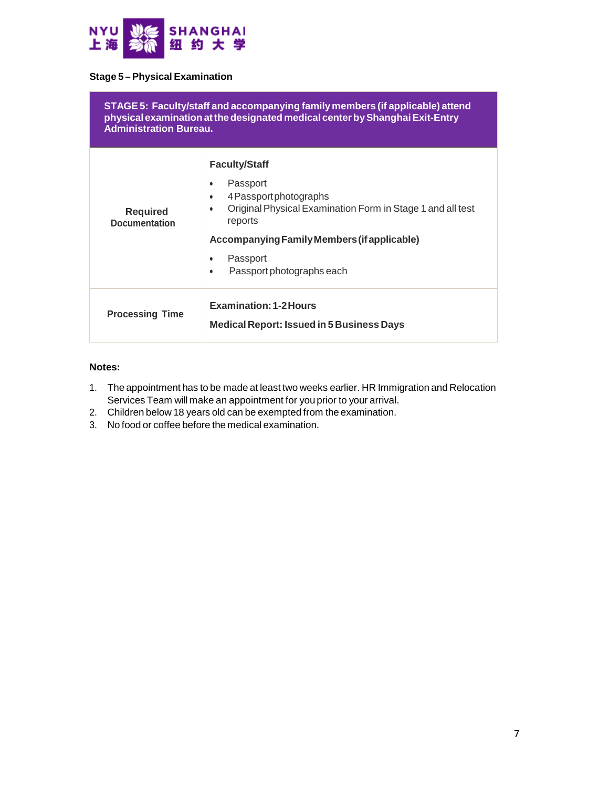

### **Stage 5 –Physical Examination**

| STAGE 5: Faculty/staff and accompanying family members (if applicable) attend<br>physical examination at the designated medical center by Shanghai Exit-Entry<br><b>Administration Bureau.</b> |                                                                                                                                                                                                                                                                              |
|------------------------------------------------------------------------------------------------------------------------------------------------------------------------------------------------|------------------------------------------------------------------------------------------------------------------------------------------------------------------------------------------------------------------------------------------------------------------------------|
| <b>Required</b><br><b>Documentation</b>                                                                                                                                                        | <b>Faculty/Staff</b><br>Passport<br>$\bullet$<br>4 Passport photographs<br>٠<br>Original Physical Examination Form in Stage 1 and all test<br>$\bullet$<br>reports<br>Accompanying Family Members (if applicable)<br>Passport<br>٠<br>Passport photographs each<br>$\bullet$ |
| <b>Processing Time</b>                                                                                                                                                                         | <b>Examination: 1-2 Hours</b><br><b>Medical Report: Issued in 5 Business Days</b>                                                                                                                                                                                            |

## **Notes:**

- 1. The appointment has to be made at least two weeks earlier. HR Immigration and Relocation Services Team will make an appointment for you prior to your arrival.
- 2. Children below 18 years old can be exempted from the examination.
- 3. No food or coffee before the medical examination.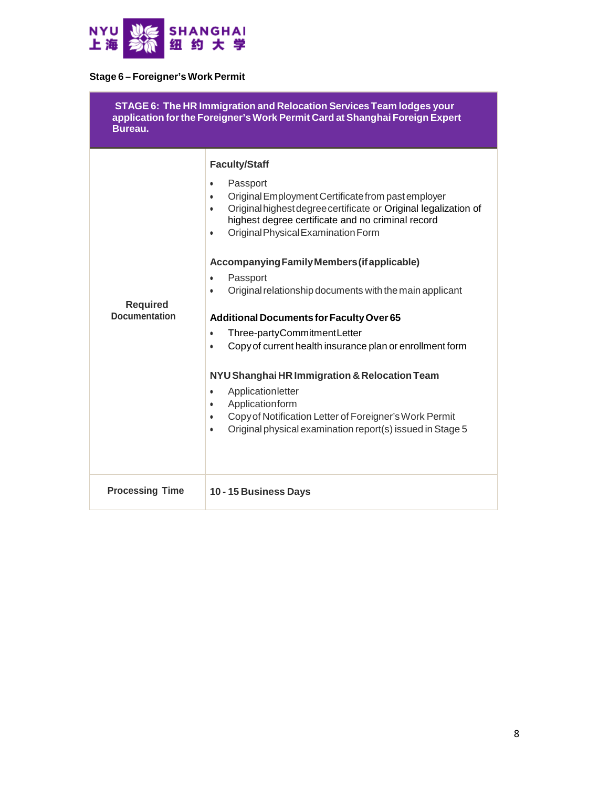

# **Stage 6 – Foreigner's Work Permit**

| STAGE 6: The HR Immigration and Relocation Services Team lodges your<br>application for the Foreigner's Work Permit Card at Shanghai Foreign Expert<br>Bureau. |                                                                                                                                                                                                                                                                                                                                                                                                                                                          |
|----------------------------------------------------------------------------------------------------------------------------------------------------------------|----------------------------------------------------------------------------------------------------------------------------------------------------------------------------------------------------------------------------------------------------------------------------------------------------------------------------------------------------------------------------------------------------------------------------------------------------------|
| <b>Required</b><br><b>Documentation</b>                                                                                                                        | <b>Faculty/Staff</b><br>Passport<br>$\bullet$<br>Original Employment Certificate from past employer<br>$\bullet$<br>Original highest degree certificate or Original legalization of<br>$\bullet$<br>highest degree certificate and no criminal record<br>Original Physical Examination Form<br>$\bullet$<br>Accompanying Family Members (if applicable)<br>Passport<br>$\bullet$<br>Original relationship documents with the main applicant<br>$\bullet$ |
|                                                                                                                                                                | Additional Documents for Faculty Over 65<br>Three-partyCommitmentLetter<br>$\bullet$<br>Copy of current health insurance plan or enrollment form<br>$\bullet$<br>NYU Shanghai HR Immigration & Relocation Team<br>Applicationletter<br>$\bullet$<br>Applicationform<br>$\bullet$<br>Copy of Notification Letter of Foreigner's Work Permit<br>$\bullet$<br>Original physical examination report(s) issued in Stage 5<br>$\bullet$                        |
| <b>Processing Time</b>                                                                                                                                         | 10 - 15 Business Days                                                                                                                                                                                                                                                                                                                                                                                                                                    |